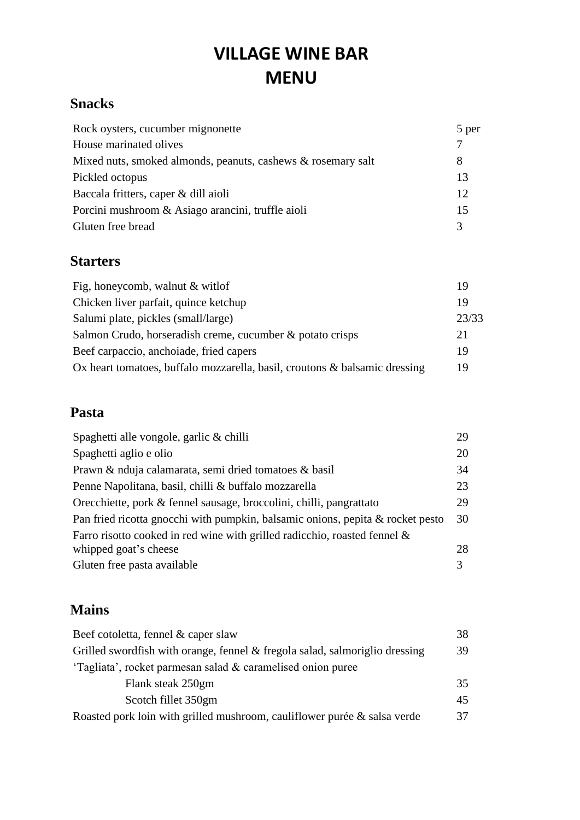# **VILLAGE WINE BAR MENU**

### **Snacks**

| Rock oysters, cucumber mignonette                            | 5 per |
|--------------------------------------------------------------|-------|
| House marinated olives                                       |       |
| Mixed nuts, smoked almonds, peanuts, cashews & rosemary salt | 8     |
| Pickled octopus                                              | 13    |
| Baccala fritters, caper & dill aioli                         | 12    |
| Porcini mushroom & Asiago arancini, truffle aioli            | 15    |
| Gluten free bread                                            | 3     |

### **Starters**

| Fig. honeycomb, walnut $&$ with of                                         | 19    |
|----------------------------------------------------------------------------|-------|
| Chicken liver parfait, quince ketchup                                      | 19    |
| Salumi plate, pickles (small/large)                                        | 23/33 |
| Salmon Crudo, horseradish creme, cucumber & potato crisps                  | 21    |
| Beef carpaccio, anchoiade, fried capers                                    | 19    |
| Ox heart tomatoes, buffalo mozzarella, basil, croutons & balsamic dressing | 19    |

### **Pasta**

| Spaghetti alle vongole, garlic & chilli                                        | 29 |
|--------------------------------------------------------------------------------|----|
| Spaghetti aglio e olio                                                         | 20 |
| Prawn & nduja calamarata, semi dried tomatoes & basil                          | 34 |
| Penne Napolitana, basil, chilli & buffalo mozzarella                           | 23 |
| Orecchiette, pork & fennel sausage, broccolini, chilli, pangrattato            | 29 |
| Pan fried ricotta gnocchi with pumpkin, balsamic onions, pepita & rocket pesto | 30 |
| Farro risotto cooked in red wine with grilled radicchio, roasted fennel $\&$   |    |
| whipped goat's cheese                                                          | 28 |
| Gluten free pasta available                                                    | 3  |
|                                                                                |    |

## **Mains**

| Beef cotoletta, fennel & caper slaw                                         | 38 |
|-----------------------------------------------------------------------------|----|
| Grilled swordfish with orange, fennel & fregola salad, salmoriglio dressing | 39 |
| 'Tagliata', rocket parmesan salad & caramelised onion puree                 |    |
| Flank steak 250gm                                                           | 35 |
| Scotch fillet 350gm                                                         | 45 |
| Roasted pork loin with grilled mushroom, cauliflower purée & salsa verde    | 37 |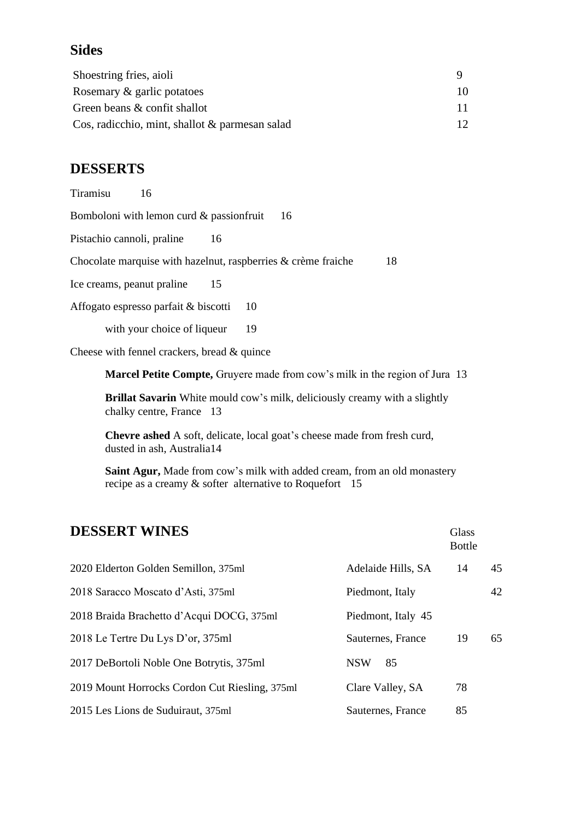#### **Sides**

| Shoestring fries, aioli                        |  |  |
|------------------------------------------------|--|--|
| Rosemary & garlic potatoes                     |  |  |
| Green beans & confit shallot                   |  |  |
| Cos, radicchio, mint, shallot & parmesan salad |  |  |

#### **DESSERTS**

Tiramisu 16

| Bomboloni with lemon curd $\&$ passion fruit | -16 |
|----------------------------------------------|-----|
|----------------------------------------------|-----|

Pistachio cannoli, praline 16

Chocolate marquise with hazelnut, raspberries & crème fraiche 18

Ice creams, peanut praline 15

Affogato espresso parfait & biscotti 10

with your choice of liqueur 19

Cheese with fennel crackers, bread & quince

**Marcel Petite Compte,** Gruyere made from cow's milk in the region of Jura 13

**Brillat Savarin** White mould cow's milk, deliciously creamy with a slightly chalky centre, France 13

**Chevre ashed** A soft, delicate, local goat's cheese made from fresh curd, dusted in ash, Australia14

**Saint Agur,** Made from cow's milk with added cream, from an old monastery recipe as a creamy & softer alternative to Roquefort 15

# **DESSERT WINES** Glass Bottle 2020 Elderton Golden Semillon, 375ml Adelaide Hills, SA 14 45 2018 Saracco Moscato d'Asti, 375ml Piedmont, Italy 42 2018 Braida Brachetto d'Acqui DOCG, 375ml Piedmont, Italy 45 2018 Le Tertre Du Lys D'or, 375ml Sauternes, France 19 65 2017 DeBortoli Noble One Botrytis, 375ml NSW 85 2019 Mount Horrocks Cordon Cut Riesling, 375ml Clare Valley, SA 78 2015 Les Lions de Suduiraut, 375ml Sauternes, France 85